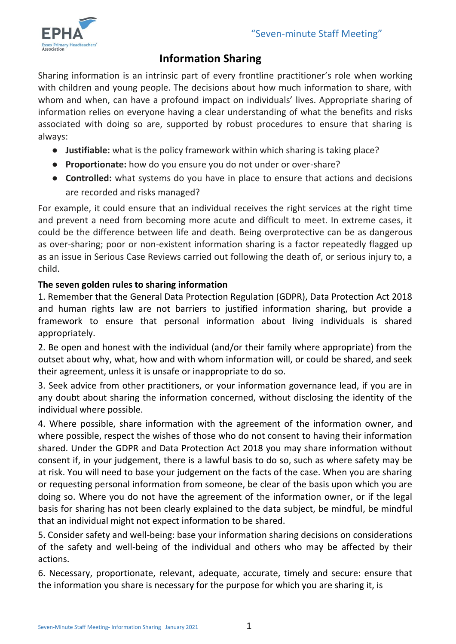

# **Information Sharing**

Sharing information is an intrinsic part of every frontline practitioner's role when working with children and young people. The decisions about how much information to share, with whom and when, can have a profound impact on individuals' lives. Appropriate sharing of information relies on everyone having a clear understanding of what the benefits and risks associated with doing so are, supported by robust procedures to ensure that sharing is always:

- **Justifiable:** what is the policy framework within which sharing is taking place?
- **Proportionate:** how do you ensure you do not under or over-share?
- **Controlled:** what systems do you have in place to ensure that actions and decisions are recorded and risks managed?

For example, it could ensure that an individual receives the right services at the right time and prevent a need from becoming more acute and difficult to meet. In extreme cases, it could be the difference between life and death. Being overprotective can be as dangerous as over-sharing; poor or non-existent information sharing is a factor repeatedly flagged up as an issue in Serious Case Reviews carried out following the death of, or serious injury to, a child.

## **The seven golden rules to sharing information**

1. Remember that the General Data Protection Regulation (GDPR), Data Protection Act 2018 and human rights law are not barriers to justified information sharing, but provide a framework to ensure that personal information about living individuals is shared appropriately.

2. Be open and honest with the individual (and/or their family where appropriate) from the outset about why, what, how and with whom information will, or could be shared, and seek their agreement, unless it is unsafe or inappropriate to do so.

3. Seek advice from other practitioners, or your information governance lead, if you are in any doubt about sharing the information concerned, without disclosing the identity of the individual where possible.

4. Where possible, share information with the agreement of the information owner, and where possible, respect the wishes of those who do not consent to having their information shared. Under the GDPR and Data Protection Act 2018 you may share information without consent if, in your judgement, there is a lawful basis to do so, such as where safety may be at risk. You will need to base your judgement on the facts of the case. When you are sharing or requesting personal information from someone, be clear of the basis upon which you are doing so. Where you do not have the agreement of the information owner, or if the legal basis for sharing has not been clearly explained to the data subject, be mindful, be mindful that an individual might not expect information to be shared.

5. Consider safety and well-being: base your information sharing decisions on considerations of the safety and well-being of the individual and others who may be affected by their actions.

6. Necessary, proportionate, relevant, adequate, accurate, timely and secure: ensure that the information you share is necessary for the purpose for which you are sharing it, is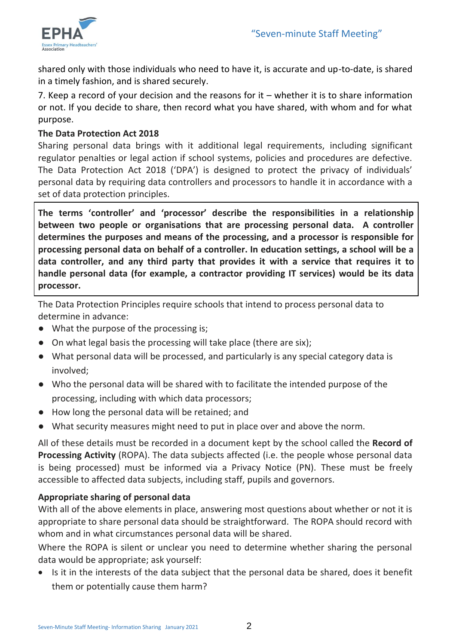

shared only with those individuals who need to have it, is accurate and up-to-date, is shared in a timely fashion, and is shared securely.

7. Keep a record of your decision and the reasons for it – whether it is to share information or not. If you decide to share, then record what you have shared, with whom and for what purpose.

## **The Data Protection Act 2018**

Sharing personal data brings with it additional legal requirements, including significant regulator penalties or legal action if school systems, policies and procedures are defective. The Data Protection Act 2018 ('DPA') is designed to protect the privacy of individuals' personal data by requiring data controllers and processors to handle it in accordance with a set of data protection principles.

**The terms 'controller' and 'processor' describe the responsibilities in a relationship between two people or organisations that are processing personal data. A controller determines the purposes and means of the processing, and a processor is responsible for processing personal data on behalf of a controller. In education settings, a school will be a data controller, and any third party that provides it with a service that requires it to handle personal data (for example, a contractor providing IT services) would be its data processor.** 

The Data Protection Principles require schools that intend to process personal data to determine in advance:

- What the purpose of the processing is;
- On what legal basis the processing will take place (there are six);
- What personal data will be processed, and particularly is any special category data is involved;
- Who the personal data will be shared with to facilitate the intended purpose of the processing, including with which data processors;
- How long the personal data will be retained; and
- What security measures might need to put in place over and above the norm.

All of these details must be recorded in a document kept by the school called the **Record of Processing Activity** (ROPA). The data subjects affected (i.e. the people whose personal data is being processed) must be informed via a Privacy Notice (PN). These must be freely accessible to affected data subjects, including staff, pupils and governors.

## **Appropriate sharing of personal data**

With all of the above elements in place, answering most questions about whether or not it is appropriate to share personal data should be straightforward. The ROPA should record with whom and in what circumstances personal data will be shared.

Where the ROPA is silent or unclear you need to determine whether sharing the personal data would be appropriate; ask yourself:

• Is it in the interests of the data subject that the personal data be shared, does it benefit them or potentially cause them harm?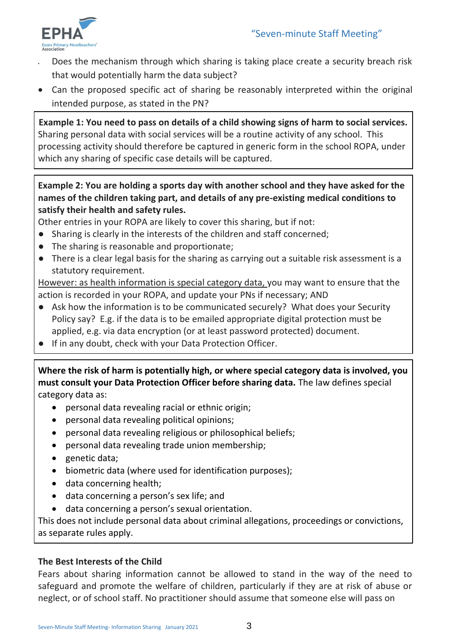

- Does the mechanism through which sharing is taking place create a security breach risk that would potentially harm the data subject?
- Can the proposed specific act of sharing be reasonably interpreted within the original intended purpose, as stated in the PN?

**Example 1: You need to pass on details of a child showing signs of harm to social services.** Sharing personal data with social services will be a routine activity of any school. This processing activity should therefore be captured in generic form in the school ROPA, under which any sharing of specific case details will be captured.

## **Example 2: You are holding a sports day with another school and they have asked for the names of the children taking part, and details of any pre-existing medical conditions to satisfy their health and safety rules.**

Other entries in your ROPA are likely to cover this sharing, but if not:

- Sharing is clearly in the interests of the children and staff concerned;
- The sharing is reasonable and proportionate;
- There is a clear legal basis for the sharing as carrying out a suitable risk assessment is a statutory requirement.

However: as health information is special category data, you may want to ensure that the action is recorded in your ROPA, and update your PNs if necessary; AND

- Ask how the information is to be communicated securely? What does your Security Policy say? E.g. if the data is to be emailed appropriate digital protection must be applied, e.g. via data encryption (or at least password protected) document.
- If in any doubt, check with your Data Protection Officer.

**Where the risk of harm is potentially high, or where special category data is involved, you must consult your Data Protection Officer before sharing data.** The law defines special category data as:

- personal data revealing racial or ethnic origin;
- personal data revealing political opinions;
- personal data revealing religious or philosophical beliefs;
- personal data revealing trade union membership;
- genetic data;
- biometric data (where used for identification purposes);
- data concerning health;
- data concerning a person's sex life; and
- data concerning a person's sexual orientation.

This does not include personal data about criminal allegations, proceedings or convictions, as separate rules apply.

## **The Best Interests of the Child**

Fears about sharing information cannot be allowed to stand in the way of the need to safeguard and promote the welfare of children, particularly if they are at risk of abuse or neglect, or of school staff. No practitioner should assume that someone else will pass on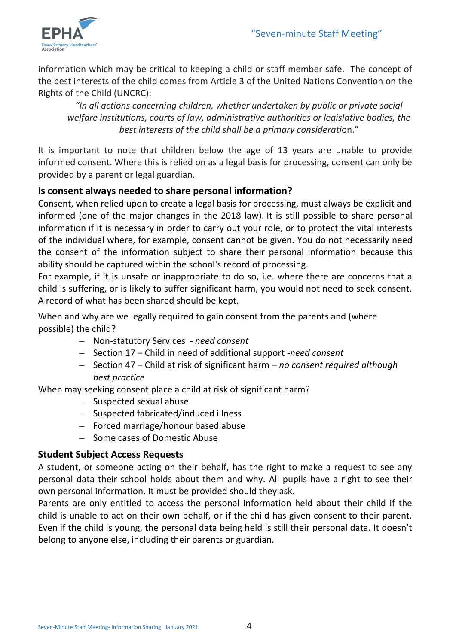

information which may be critical to keeping a child or staff member safe. The concept of the best interests of the child comes from Article 3 of the United Nations Convention on the Rights of the Child (UNCRC):

*"In all actions concerning children, whether undertaken by public or private social welfare institutions, courts of law, administrative authorities or legislative bodies, the best interests of the child shall be a primary considerati*on."

It is important to note that children below the age of 13 years are unable to provide informed consent. Where this is relied on as a legal basis for processing, consent can only be provided by a parent or legal guardian.

## **Is consent always needed to share personal information?**

Consent, when relied upon to create a legal basis for processing, must always be explicit and informed (one of the major changes in the 2018 law). It is still possible to share personal information if it is necessary in order to carry out your role, or to protect the vital interests of the individual where, for example, consent cannot be given. You do not necessarily need the consent of the information subject to share their personal information because this ability should be captured within the school's record of processing.

For example, if it is unsafe or inappropriate to do so, i.e. where there are concerns that a child is suffering, or is likely to suffer significant harm, you would not need to seek consent. A record of what has been shared should be kept.

When and why are we legally required to gain consent from the parents and (where possible) the child?

- Non-statutory Services *need consent*
- Section 17 Child in need of additional support -*need consent*
- Section 47 Child at risk of significant harm *no consent required although best practice*

When may seeking consent place a child at risk of significant harm?

- Suspected sexual abuse
- Suspected fabricated/induced illness
- Forced marriage/honour based abuse
- Some cases of Domestic Abuse

## **Student Subject Access Requests**

A student, or someone acting on their behalf, has the right to make a request to see any personal data their school holds about them and why. All pupils have a right to see their own personal information. It must be provided should they ask.

Parents are only entitled to access the personal information held about their child if the child is unable to act on their own behalf, or if the child has given consent to their parent. Even if the child is young, the personal data being held is still their personal data. It doesn't belong to anyone else, including their parents or guardian.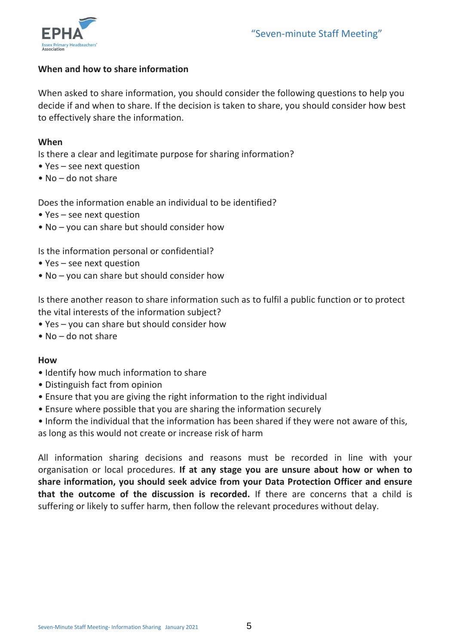

### **When and how to share information**

When asked to share information, you should consider the following questions to help you decide if and when to share. If the decision is taken to share, you should consider how best to effectively share the information.

#### **When**

Is there a clear and legitimate purpose for sharing information?

- Yes see next question
- No do not share

Does the information enable an individual to be identified?

- Yes see next question
- No you can share but should consider how

Is the information personal or confidential?

- Yes see next question
- No you can share but should consider how

Is there another reason to share information such as to fulfil a public function or to protect the vital interests of the information subject?

- Yes you can share but should consider how
- No do not share

#### **How**

- Identify how much information to share
- Distinguish fact from opinion
- Ensure that you are giving the right information to the right individual
- Ensure where possible that you are sharing the information securely

• Inform the individual that the information has been shared if they were not aware of this,

as long as this would not create or increase risk of harm

All information sharing decisions and reasons must be recorded in line with your organisation or local procedures. **If at any stage you are unsure about how or when to share information, you should seek advice from your Data Protection Officer and ensure that the outcome of the discussion is recorded.** If there are concerns that a child is suffering or likely to suffer harm, then follow the relevant procedures without delay.